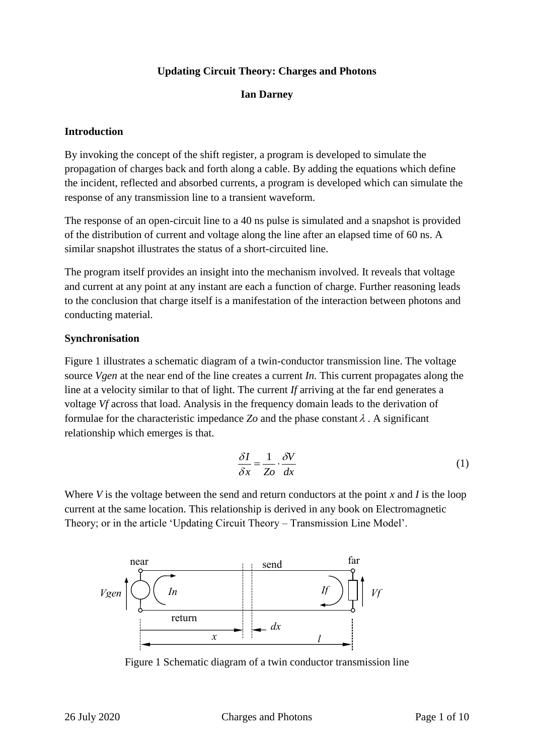### **Updating Circuit Theory: Charges and Photons**

### **Ian Darney**

### **Introduction**

By invoking the concept of the shift register, a program is developed to simulate the propagation of charges back and forth along a cable. By adding the equations which define the incident, reflected and absorbed currents, a program is developed which can simulate the response of any transmission line to a transient waveform.

The response of an open-circuit line to a 40 ns pulse is simulated and a snapshot is provided of the distribution of current and voltage along the line after an elapsed time of 60 ns. A similar snapshot illustrates the status of a short-circuited line.

The program itself provides an insight into the mechanism involved. It reveals that voltage and current at any point at any instant are each a function of charge. Further reasoning leads to the conclusion that charge itself is a manifestation of the interaction between photons and conducting material.

### **Synchronisation**

Figure 1 illustrates a schematic diagram of a twin-conductor transmission line. The voltage source *Vgen* at the near end of the line creates a current *In.* This current propagates along the line at a velocity similar to that of light. The current *If* arriving at the far end generates a voltage *Vf* across that load. Analysis in the frequency domain leads to the derivation of formulae for the characteristic impedance  $Z_0$  and the phase constant  $\lambda$ . A significant relationship which emerges is that.

$$
\frac{\delta I}{\delta x} = \frac{1}{Zo} \cdot \frac{\delta V}{dx} \tag{1}
$$

Where *V* is the voltage between the send and return conductors at the point *x* and *I* is the loop current at the same location. This relationship is derived in any book on Electromagnetic Theory; or in the article 'Updating Circuit Theory – Transmission Line Model'.



Figure 1 Schematic diagram of a twin conductor transmission line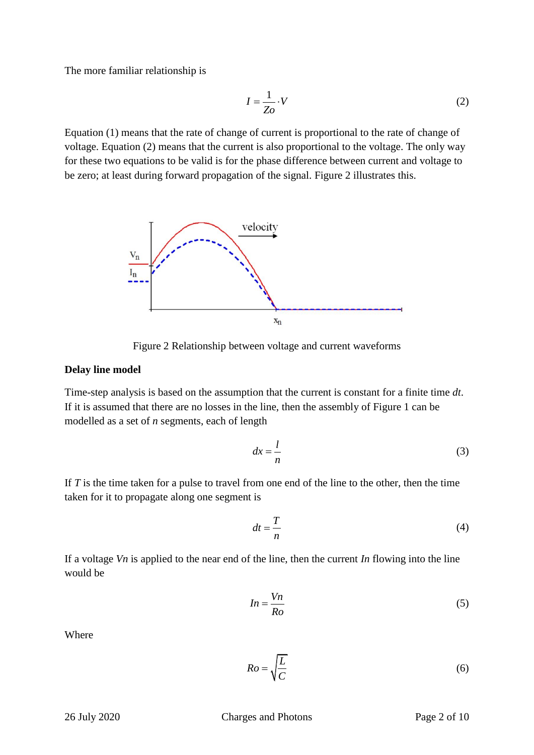The more familiar relationship is

$$
I = \frac{1}{Zo} \cdot V \tag{2}
$$

Equation (1) means that the rate of change of current is proportional to the rate of change of voltage. Equation (2) means that the current is also proportional to the voltage. The only way for these two equations to be valid is for the phase difference between current and voltage to be zero; at least during forward propagation of the signal. Figure 2 illustrates this.



Figure 2 Relationship between voltage and current waveforms

#### **Delay line model**

Time-step analysis is based on the assumption that the current is constant for a finite time *dt*. If it is assumed that there are no losses in the line, then the assembly of Figure 1 can be modelled as a set of *n* segments, each of length

$$
dx = \frac{l}{n} \tag{3}
$$

If *T* is the time taken for a pulse to travel from one end of the line to the other, then the time taken for it to propagate along one segment is

$$
dt = \frac{T}{n} \tag{4}
$$

If a voltage *Vn* is applied to the near end of the line, then the current *In* flowing into the line would be

$$
In = \frac{Vn}{Ro} \tag{5}
$$

**Where** 

$$
Ro = \sqrt{\frac{L}{C}}\tag{6}
$$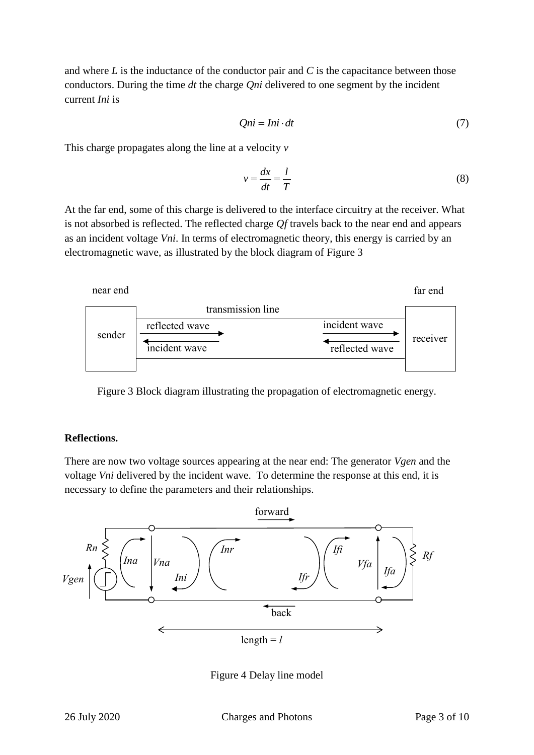and where *L* is the inductance of the conductor pair and *C* is the capacitance between those conductors. During the time *dt* the charge *Qni* delivered to one segment by the incident current *Ini* is

$$
Qni = Ini \cdot dt \tag{7}
$$

This charge propagates along the line at a velocity *v*

$$
v = \frac{dx}{dt} = \frac{l}{T}
$$
 (8)

At the far end, some of this charge is delivered to the interface circuitry at the receiver. What is not absorbed is reflected. The reflected charge *Qf* travels back to the near end and appears as an incident voltage *Vni*. In terms of electromagnetic theory, this energy is carried by an electromagnetic wave, as illustrated by the block diagram of Figure 3



Figure 3 Block diagram illustrating the propagation of electromagnetic energy.

#### **Reflections.**

There are now two voltage sources appearing at the near end: The generator *Vgen* and the voltage *Vni* delivered by the incident wave. To determine the response at this end, it is necessary to define the parameters and their relationships.



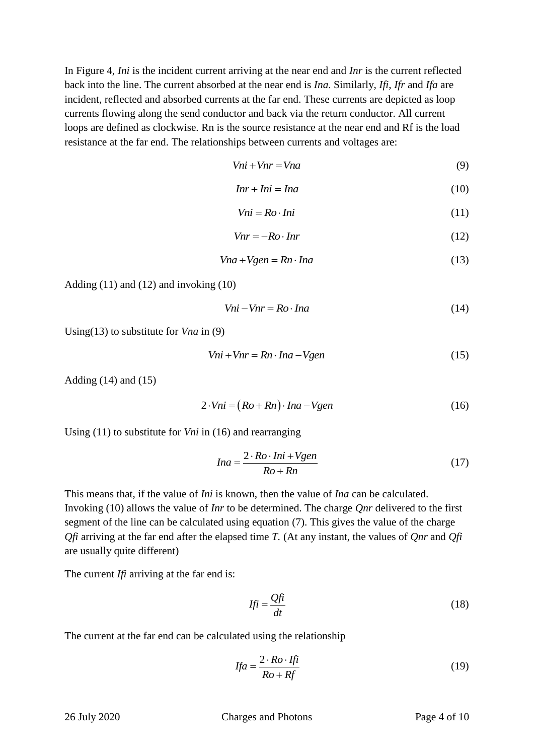In Figure 4, *Ini* is the incident current arriving at the near end and *Inr* is the current reflected back into the line. The current absorbed at the near end is *Ina*. Similarly, *Ifi*, *Ifr* and *Ifa* are incident, reflected and absorbed currents at the far end. These currents are depicted as loop currents flowing along the send conductor and back via the return conductor. All current loops are defined as clockwise. Rn is the source resistance at the near end and Rf is the load resistance at the far end. The relationships between currents and voltages are:

$$
Vni + Vnr = Vna \tag{9}
$$

$$
Inr + Ini = Ina \tag{10}
$$

$$
Vni = Ro \cdot Ini \tag{11}
$$

$$
Vnr = -Ro \cdot Inv \tag{12}
$$

$$
Vna + Vgen = Rn \cdot Ina \tag{13}
$$

Adding (11) and (12) and invoking (10)

$$
Vni - Vnr = Ro \cdot Ina \tag{14}
$$

Using(13) to substitute for *Vna* in (9)

$$
Vni + Vnr = Rn \cdot Ina - Vgen
$$
 (15)

Adding (14) and (15)

$$
2 \cdot Vni = (Ro + Rn) \cdot Ina - Vgen
$$
 (16)

Using (11) to substitute for *Vni* in (16) and rearranging

$$
Ina = \frac{2 \cdot Ro \cdot Ini + Vgen}{Ro + Rn}
$$
 (17)

This means that, if the value of *Ini* is known, then the value of *Ina* can be calculated. Invoking (10) allows the value of *Inr* to be determined. The charge *Qnr* delivered to the first segment of the line can be calculated using equation (7). This gives the value of the charge *Qfi* arriving at the far end after the elapsed time *T.* (At any instant, the values of *Qnr* and *Qfi* are usually quite different)

The current *Ifi* arriving at the far end is:

$$
If\bar{i} = \frac{Qf\bar{i}}{dt} \tag{18}
$$

The current at the far end can be calculated using the relationship

$$
Ifa = \frac{2 \cdot Ro \cdot Ifi}{Ro + Rf} \tag{19}
$$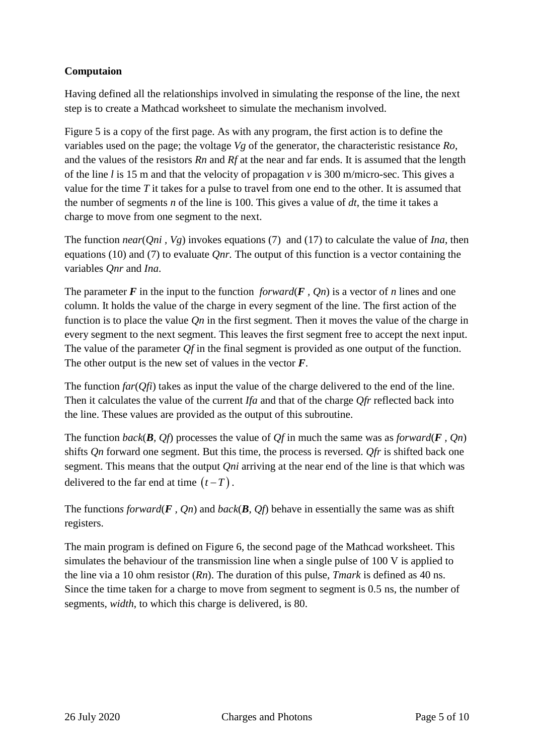# **Computaion**

Having defined all the relationships involved in simulating the response of the line, the next step is to create a Mathcad worksheet to simulate the mechanism involved.

Figure 5 is a copy of the first page. As with any program, the first action is to define the variables used on the page; the voltage *Vg* of the generator, the characteristic resistance *Ro*, and the values of the resistors *Rn* and *Rf* at the near and far ends. It is assumed that the length of the line *l* is 15 m and that the velocity of propagation *v* is 300 m/micro-sec. This gives a value for the time *T* it takes for a pulse to travel from one end to the other. It is assumed that the number of segments *n* of the line is 100. This gives a value of *dt*, the time it takes a charge to move from one segment to the next.

The function *near*(*Qni , Vg*) invokes equations (7) and (17) to calculate the value of *Ina*, then equations (10) and (7) to evaluate *Qnr.* The output of this function is a vector containing the variables *Qnr* and *Ina*.

The parameter  $\vec{F}$  in the input to the function *forward*( $\vec{F}$ ,  $Qn$ ) is a vector of *n* lines and one column. It holds the value of the charge in every segment of the line. The first action of the function is to place the value *Qn* in the first segment. Then it moves the value of the charge in every segment to the next segment. This leaves the first segment free to accept the next input. The value of the parameter *Qf* in the final segment is provided as one output of the function. The other output is the new set of values in the vector *F*.

The function *far*(*Qfi*) takes as input the value of the charge delivered to the end of the line. Then it calculates the value of the current *Ifa* and that of the charge *Qfr* reflected back into the line. These values are provided as the output of this subroutine.

The function *back*( $\bf{B}$ ,  $\bf{O}$ *f*) processes the value of  $\bf{O}$ *f* in much the same was as *forward*( $\bf{F}$ ,  $\bf{O}$ *n*) shifts *Qn* forward one segment. But this time, the process is reversed. *Qfr* is shifted back one segment. This means that the output *Qni* arriving at the near end of the line is that which was delivered to the far end at time  $(t-T)$ .

The functions forward( $\bf{F}$ ,  $\bf{Q}$ *n*) and *back*( $\bf{B}$ ,  $\bf{Q}$ *f*) behave in essentially the same was as shift registers.

The main program is defined on Figure 6, the second page of the Mathcad worksheet. This simulates the behaviour of the transmission line when a single pulse of 100 V is applied to the line via a 10 ohm resistor (*Rn*). The duration of this pulse, *Tmark* is defined as 40 ns. Since the time taken for a charge to move from segment to segment is 0.5 ns, the number of segments, *width*, to which this charge is delivered, is 80.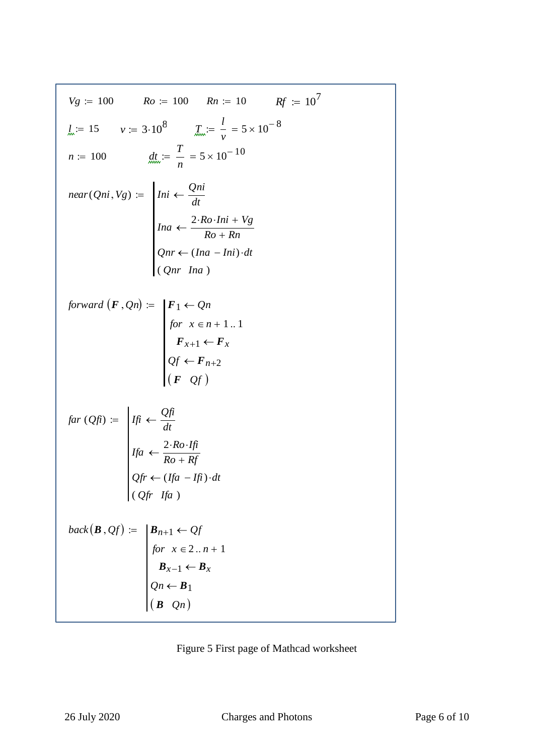$$
V_g := 100 \t Ro := 100 \t Rn := 10 \t Rf := 10^7
$$
  
\n
$$
l_{\infty} := 15 \t v := 3 \cdot 10^8 \t I_{\infty} := \frac{1}{v} = 5 \times 10^{-8}
$$
  
\n
$$
n := 100 \t d_{\infty} := \frac{T}{n} = 5 \times 10^{-10}
$$
  
\n
$$
near(Qni, V_g) := \begin{vmatrix} Ini < \frac{Qni}{dt} \\ Ina < \frac{2 \cdot Ro \cdot Ini + V_g}{Ro + Rn} \\ Onr < (Ina - Ini) \cdot dt \\ Qnr \cdot Ina \end{vmatrix}
$$
  
\nforward  $(F, Qn) := \begin{vmatrix} F_1 < Qn \\ for x \in n + 1..1 \\ for x = n + 1..1 \\ F_{x+1} < F_x \\ Qf < F_{n+2} \end{vmatrix}$   
\n
$$
far (Qfi) := \begin{vmatrix} If_i < \frac{Qfi}{dt} \\ If_i < \frac{2 \cdot Ro \cdot If_i}{Ro + Rf} \\ Qf < (Ifa - Ifi) \cdot dt \\ (Qfr + ffa) \end{vmatrix}
$$
  
\nback  $(B, Qf) := \begin{vmatrix} B_{n+1} < Qf \\ \text{for } x \in 2..n + 1 \\ (B \cdot Qn) \end{vmatrix}$ 

Figure 5 First page of Mathcad worksheet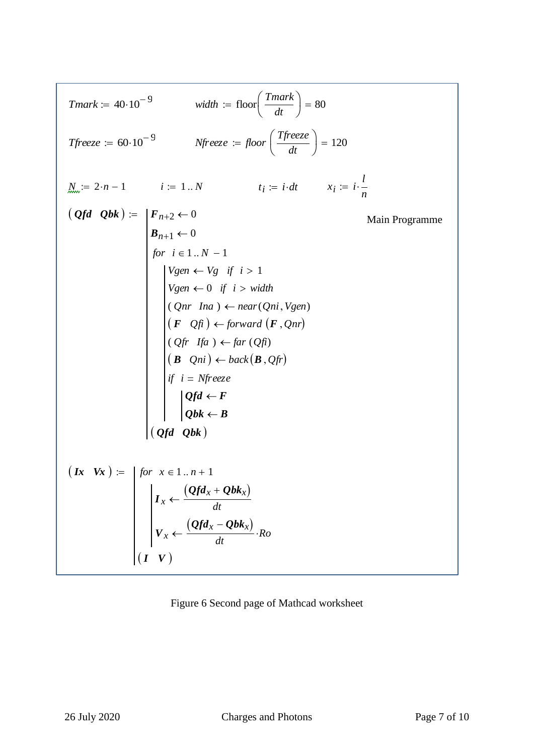$$
Tmark := 40 \cdot 10^{-9}
$$
 width := floor  $\left(\frac{Tmark}{dt}\right) = 80$   
\n
$$
Tfreeze := 60 \cdot 10^{-9}
$$
 Nfreeze := floor  $\left(\frac{Tfreeze}{dt}\right) = 120$   
\n
$$
N_m := 2 \cdot n - 1
$$
 i := 1..N t<sub>i</sub> = i·dt x<sub>i</sub> = i· $\frac{l}{n}$   
\n(Qfd Qbk) :=  $\begin{vmatrix} F_{n+2} \leftarrow 0 \\ F_{n+1} \leftarrow 0 \\ \text{for } i \in 1..N - 1 \\ \text{for } i \in 1..N - 1 \end{vmatrix}$   
\n $\begin{vmatrix} Vgen \leftarrow Vg & \text{if } i > 1 \\ Vgen \leftarrow 0 & \text{if } i > width \\ (Qnr \text{ In } a) \leftarrow near(Qni, Vgen) \\ (F Qfi) \leftarrow forward (F, Qnr) \\ (Qfr \text{ If } a) \leftarrow far (Qfi) \\ (B Qni) \leftarrow back(B, Qfi) \end{vmatrix}$   
\nif i = Nfreeze  
\nQfd ← F  
\nQfd ← F  
\nQbt ← B  
\n(Qfd Qbk)  
\n
$$
(Ix \text{ Vx}) := \begin{vmatrix} for x \in 1..n + 1 \\ F_x \leftarrow \frac{(Qfd_x + Qbk_x)}{dt} \\ K_x \leftarrow \frac{(Qfd_x - Qbk_x)}{dt} \\ K_y \leftarrow \frac{(Qfd_x - Qbk_x)}{dt} \\ K_z \leftarrow \frac{(Qfd_x - Qbk_x)}{dt} \\ K_z \leftarrow \frac{(Qfd_x - Qbk_x)}{dt} \\ K_z \leftarrow \frac{(Qfd_x - Qbk_x)}{dt} \\ K_z \leftarrow \frac{(Qfd_x - Qbk_x)}{dt} \\ K_z \leftarrow \frac{(Qfd_x - Qbk_x)}{dt} \\ K_z \leftarrow \frac{(Qfd_x - Qbk_x)}{dt} \\ K_z \leftarrow \frac{(Qfd_x - Qbk_x)}{dt} \\ K_z \leftarrow \frac{(Qfd_x - Qbk_x)}{dt} \\ K_z \leftarrow \frac{(Qfd_x - Qbk_x)}{dt} \\ K_z \leftarrow \frac{(Qfd_x - Qbk_x)}{dt} \\ K_z \leftarrow \frac{(Qfd_x - Qbk_x)}{dt} \\ K_z \leftarrow \frac{(Qfd_x - Qbk_x)}{dt} \\ K_z \leftarrow \frac{(Qfd_x - Qbk_x)}{dt} \\ K_z \left
$$

# Figure 6 Second page of Mathcad worksheet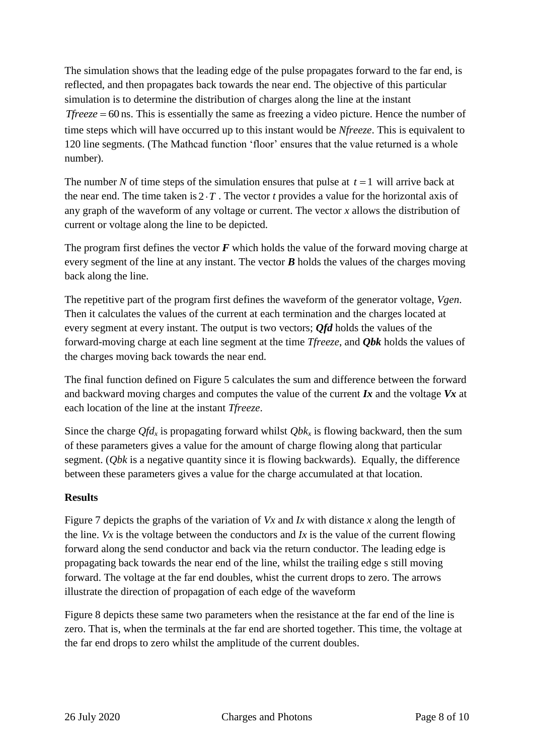The simulation shows that the leading edge of the pulse propagates forward to the far end, is reflected, and then propagates back towards the near end. The objective of this particular simulation is to determine the distribution of charges along the line at the instant *Tfreeze* = 60 ns. This is essentially the same as freezing a video picture. Hence the number of time steps which will have occurred up to this instant would be *Nfreeze*. This is equivalent to 120 line segments. (The Mathcad function 'floor' ensures that the value returned is a whole number).

The number N of time steps of the simulation ensures that pulse at  $t = 1$  will arrive back at the near end. The time taken is  $2 \cdot T$ . The vector *t* provides a value for the horizontal axis of any graph of the waveform of any voltage or current. The vector *x* allows the distribution of current or voltage along the line to be depicted.

The program first defines the vector *F* which holds the value of the forward moving charge at every segment of the line at any instant. The vector *B* holds the values of the charges moving back along the line.

The repetitive part of the program first defines the waveform of the generator voltage, *Vgen*. Then it calculates the values of the current at each termination and the charges located at every segment at every instant. The output is two vectors; *Qfd* holds the values of the forward-moving charge at each line segment at the time *Tfreeze*, and *Qbk* holds the values of the charges moving back towards the near end.

The final function defined on Figure 5 calculates the sum and difference between the forward and backward moving charges and computes the value of the current *Ix* and the voltage *Vx* at each location of the line at the instant *Tfreeze*.

Since the charge  $Qfd_x$  is propagating forward whilst  $Qbk_x$  is flowing backward, then the sum of these parameters gives a value for the amount of charge flowing along that particular segment. (*Qbk* is a negative quantity since it is flowing backwards). Equally, the difference between these parameters gives a value for the charge accumulated at that location.

### **Results**

Figure 7 depicts the graphs of the variation of *Vx* and *Ix* with distance *x* along the length of the line. *Vx* is the voltage between the conductors and *Ix* is the value of the current flowing forward along the send conductor and back via the return conductor. The leading edge is propagating back towards the near end of the line, whilst the trailing edge s still moving forward. The voltage at the far end doubles, whist the current drops to zero. The arrows illustrate the direction of propagation of each edge of the waveform

Figure 8 depicts these same two parameters when the resistance at the far end of the line is zero. That is, when the terminals at the far end are shorted together. This time, the voltage at the far end drops to zero whilst the amplitude of the current doubles.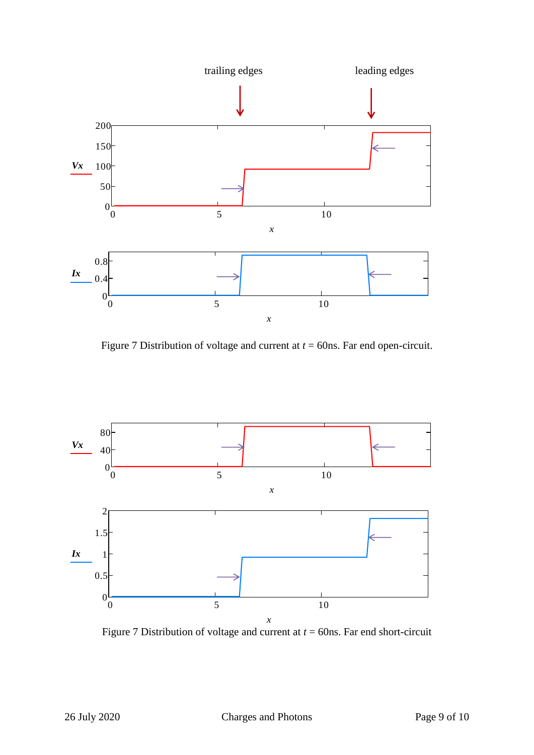

Figure 7 Distribution of voltage and current at *t* = 60ns. Far end open-circuit.



Figure 7 Distribution of voltage and current at *t* = 60ns. Far end short-circuit